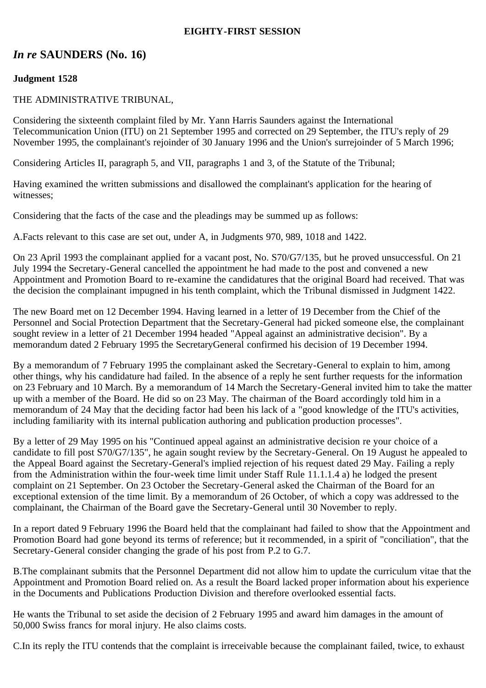## **EIGHTY-FIRST SESSION**

# *In re* **SAUNDERS (No. 16)**

## **Judgment 1528**

## THE ADMINISTRATIVE TRIBUNAL,

Considering the sixteenth complaint filed by Mr. Yann Harris Saunders against the International Telecommunication Union (ITU) on 21 September 1995 and corrected on 29 September, the ITU's reply of 29 November 1995, the complainant's rejoinder of 30 January 1996 and the Union's surrejoinder of 5 March 1996;

Considering Articles II, paragraph 5, and VII, paragraphs 1 and 3, of the Statute of the Tribunal;

Having examined the written submissions and disallowed the complainant's application for the hearing of witnesses;

Considering that the facts of the case and the pleadings may be summed up as follows:

A.Facts relevant to this case are set out, under A, in Judgments 970, 989, 1018 and 1422.

On 23 April 1993 the complainant applied for a vacant post, No. S70/G7/135, but he proved unsuccessful. On 21 July 1994 the Secretary-General cancelled the appointment he had made to the post and convened a new Appointment and Promotion Board to re-examine the candidatures that the original Board had received. That was the decision the complainant impugned in his tenth complaint, which the Tribunal dismissed in Judgment 1422.

The new Board met on 12 December 1994. Having learned in a letter of 19 December from the Chief of the Personnel and Social Protection Department that the Secretary-General had picked someone else, the complainant sought review in a letter of 21 December 1994 headed "Appeal against an administrative decision". By a memorandum dated 2 February 1995 the SecretaryGeneral confirmed his decision of 19 December 1994.

By a memorandum of 7 February 1995 the complainant asked the Secretary-General to explain to him, among other things, why his candidature had failed. In the absence of a reply he sent further requests for the information on 23 February and 10 March. By a memorandum of 14 March the Secretary-General invited him to take the matter up with a member of the Board. He did so on 23 May. The chairman of the Board accordingly told him in a memorandum of 24 May that the deciding factor had been his lack of a "good knowledge of the ITU's activities, including familiarity with its internal publication authoring and publication production processes".

By a letter of 29 May 1995 on his "Continued appeal against an administrative decision re your choice of a candidate to fill post S70/G7/135", he again sought review by the Secretary-General. On 19 August he appealed to the Appeal Board against the Secretary-General's implied rejection of his request dated 29 May. Failing a reply from the Administration within the four-week time limit under Staff Rule 11.1.1.4 a) he lodged the present complaint on 21 September. On 23 October the Secretary-General asked the Chairman of the Board for an exceptional extension of the time limit. By a memorandum of 26 October, of which a copy was addressed to the complainant, the Chairman of the Board gave the Secretary-General until 30 November to reply.

In a report dated 9 February 1996 the Board held that the complainant had failed to show that the Appointment and Promotion Board had gone beyond its terms of reference; but it recommended, in a spirit of "conciliation", that the Secretary-General consider changing the grade of his post from P.2 to G.7.

B.The complainant submits that the Personnel Department did not allow him to update the curriculum vitae that the Appointment and Promotion Board relied on. As a result the Board lacked proper information about his experience in the Documents and Publications Production Division and therefore overlooked essential facts.

He wants the Tribunal to set aside the decision of 2 February 1995 and award him damages in the amount of 50,000 Swiss francs for moral injury. He also claims costs.

C.In its reply the ITU contends that the complaint is irreceivable because the complainant failed, twice, to exhaust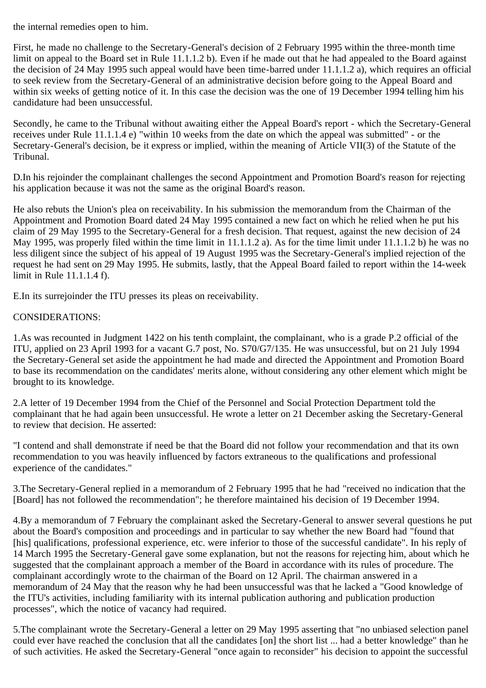the internal remedies open to him.

First, he made no challenge to the Secretary-General's decision of 2 February 1995 within the three-month time limit on appeal to the Board set in Rule 11.1.1.2 b). Even if he made out that he had appealed to the Board against the decision of 24 May 1995 such appeal would have been time-barred under 11.1.1.2 a), which requires an official to seek review from the Secretary-General of an administrative decision before going to the Appeal Board and within six weeks of getting notice of it. In this case the decision was the one of 19 December 1994 telling him his candidature had been unsuccessful.

Secondly, he came to the Tribunal without awaiting either the Appeal Board's report - which the Secretary-General receives under Rule 11.1.1.4 e) "within 10 weeks from the date on which the appeal was submitted" - or the Secretary-General's decision, be it express or implied, within the meaning of Article VII(3) of the Statute of the Tribunal.

D.In his rejoinder the complainant challenges the second Appointment and Promotion Board's reason for rejecting his application because it was not the same as the original Board's reason.

He also rebuts the Union's plea on receivability. In his submission the memorandum from the Chairman of the Appointment and Promotion Board dated 24 May 1995 contained a new fact on which he relied when he put his claim of 29 May 1995 to the Secretary-General for a fresh decision. That request, against the new decision of 24 May 1995, was properly filed within the time limit in 11.1.1.2 a). As for the time limit under 11.1.1.2 b) he was no less diligent since the subject of his appeal of 19 August 1995 was the Secretary-General's implied rejection of the request he had sent on 29 May 1995. He submits, lastly, that the Appeal Board failed to report within the 14-week limit in Rule 11.1.1.4 f).

E.In its surrejoinder the ITU presses its pleas on receivability.

## CONSIDERATIONS:

1.As was recounted in Judgment 1422 on his tenth complaint, the complainant, who is a grade P.2 official of the ITU, applied on 23 April 1993 for a vacant G.7 post, No. S70/G7/135. He was unsuccessful, but on 21 July 1994 the Secretary-General set aside the appointment he had made and directed the Appointment and Promotion Board to base its recommendation on the candidates' merits alone, without considering any other element which might be brought to its knowledge.

2.A letter of 19 December 1994 from the Chief of the Personnel and Social Protection Department told the complainant that he had again been unsuccessful. He wrote a letter on 21 December asking the Secretary-General to review that decision. He asserted:

"I contend and shall demonstrate if need be that the Board did not follow your recommendation and that its own recommendation to you was heavily influenced by factors extraneous to the qualifications and professional experience of the candidates."

3.The Secretary-General replied in a memorandum of 2 February 1995 that he had "received no indication that the [Board] has not followed the recommendation"; he therefore maintained his decision of 19 December 1994.

4.By a memorandum of 7 February the complainant asked the Secretary-General to answer several questions he put about the Board's composition and proceedings and in particular to say whether the new Board had "found that [his] qualifications, professional experience, etc. were inferior to those of the successful candidate". In his reply of 14 March 1995 the Secretary-General gave some explanation, but not the reasons for rejecting him, about which he suggested that the complainant approach a member of the Board in accordance with its rules of procedure. The complainant accordingly wrote to the chairman of the Board on 12 April. The chairman answered in a memorandum of 24 May that the reason why he had been unsuccessful was that he lacked a "Good knowledge of the ITU's activities, including familiarity with its internal publication authoring and publication production processes", which the notice of vacancy had required.

5.The complainant wrote the Secretary-General a letter on 29 May 1995 asserting that "no unbiased selection panel could ever have reached the conclusion that all the candidates [on] the short list ... had a better knowledge" than he of such activities. He asked the Secretary-General "once again to reconsider" his decision to appoint the successful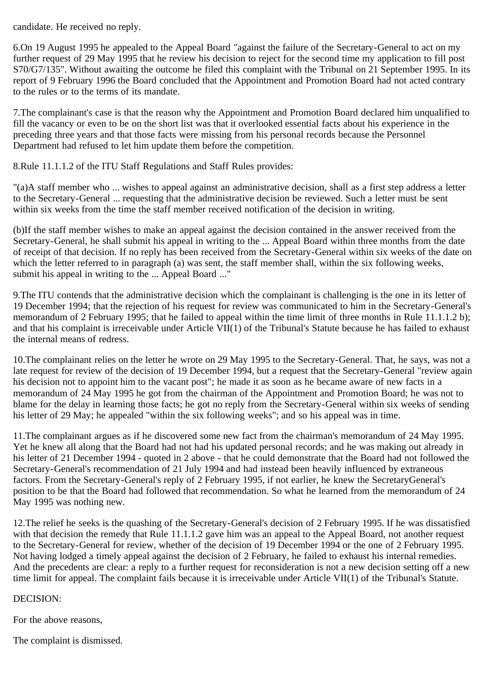candidate. He received no reply.

6.On 19 August 1995 he appealed to the Appeal Board "against the failure of the Secretary-General to act on my further request of 29 May 1995 that he review his decision to reject for the second time my application to fill post S70/G7/135". Without awaiting the outcome he filed this complaint with the Tribunal on 21 September 1995. In its report of 9 February 1996 the Board concluded that the Appointment and Promotion Board had not acted contrary to the rules or to the terms of its mandate.

7.The complainant's case is that the reason why the Appointment and Promotion Board declared him unqualified to fill the vacancy or even to be on the short list was that it overlooked essential facts about his experience in the preceding three years and that those facts were missing from his personal records because the Personnel Department had refused to let him update them before the competition.

8.Rule 11.1.1.2 of the ITU Staff Regulations and Staff Rules provides:

"(a)A staff member who ... wishes to appeal against an administrative decision, shall as a first step address a letter to the Secretary-General ... requesting that the administrative decision be reviewed. Such a letter must be sent within six weeks from the time the staff member received notification of the decision in writing.

(b)If the staff member wishes to make an appeal against the decision contained in the answer received from the Secretary-General, he shall submit his appeal in writing to the ... Appeal Board within three months from the date of receipt of that decision. If no reply has been received from the Secretary-General within six weeks of the date on which the letter referred to in paragraph (a) was sent, the staff member shall, within the six following weeks, submit his appeal in writing to the ... Appeal Board ..."

9.The ITU contends that the administrative decision which the complainant is challenging is the one in its letter of 19 December 1994; that the rejection of his request for review was communicated to him in the Secretary-General's memorandum of 2 February 1995; that he failed to appeal within the time limit of three months in Rule 11.1.1.2 b); and that his complaint is irreceivable under Article VII(1) of the Tribunal's Statute because he has failed to exhaust the internal means of redress.

10.The complainant relies on the letter he wrote on 29 May 1995 to the Secretary-General. That, he says, was not a late request for review of the decision of 19 December 1994, but a request that the Secretary-General "review again his decision not to appoint him to the vacant post"; he made it as soon as he became aware of new facts in a memorandum of 24 May 1995 he got from the chairman of the Appointment and Promotion Board; he was not to blame for the delay in learning those facts; he got no reply from the Secretary-General within six weeks of sending his letter of 29 May; he appealed "within the six following weeks"; and so his appeal was in time.

11.The complainant argues as if he discovered some new fact from the chairman's memorandum of 24 May 1995. Yet he knew all along that the Board had not had his updated personal records; and he was making out already in his letter of 21 December 1994 - quoted in 2 above - that he could demonstrate that the Board had not followed the Secretary-General's recommendation of 21 July 1994 and had instead been heavily influenced by extraneous factors. From the Secretary-General's reply of 2 February 1995, if not earlier, he knew the SecretaryGeneral's position to be that the Board had followed that recommendation. So what he learned from the memorandum of 24 May 1995 was nothing new.

12.The relief he seeks is the quashing of the Secretary-General's decision of 2 February 1995. If he was dissatisfied with that decision the remedy that Rule 11.1.1.2 gave him was an appeal to the Appeal Board, not another request to the Secretary-General for review, whether of the decision of 19 December 1994 or the one of 2 February 1995. Not having lodged a timely appeal against the decision of 2 February, he failed to exhaust his internal remedies. And the precedents are clear: a reply to a further request for reconsideration is not a new decision setting off a new time limit for appeal. The complaint fails because it is irreceivable under Article VII(1) of the Tribunal's Statute.

## DECISION:

For the above reasons,

The complaint is dismissed.